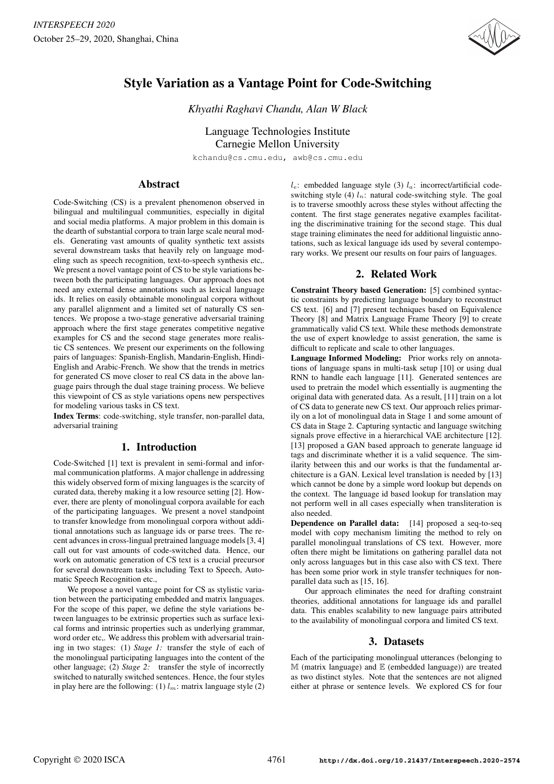

# Style Variation as a Vantage Point for Code-Switching

*Khyathi Raghavi Chandu, Alan W Black*

Language Technologies Institute Carnegie Mellon University

kchandu@cs.cmu.edu, awb@cs.cmu.edu

# Abstract

Code-Switching (CS) is a prevalent phenomenon observed in bilingual and multilingual communities, especially in digital and social media platforms. A major problem in this domain is the dearth of substantial corpora to train large scale neural models. Generating vast amounts of quality synthetic text assists several downstream tasks that heavily rely on language modeling such as speech recognition, text-to-speech synthesis etc,. We present a novel vantage point of CS to be style variations between both the participating languages. Our approach does not need any external dense annotations such as lexical language ids. It relies on easily obtainable monolingual corpora without any parallel alignment and a limited set of naturally CS sentences. We propose a two-stage generative adversarial training approach where the first stage generates competitive negative examples for CS and the second stage generates more realistic CS sentences. We present our experiments on the following pairs of languages: Spanish-English, Mandarin-English, Hindi-English and Arabic-French. We show that the trends in metrics for generated CS move closer to real CS data in the above language pairs through the dual stage training process. We believe this viewpoint of CS as style variations opens new perspectives for modeling various tasks in CS text.

Index Terms: code-switching, style transfer, non-parallel data, adversarial training

# 1. Introduction

Code-Switched [1] text is prevalent in semi-formal and informal communication platforms. A major challenge in addressing this widely observed form of mixing languages is the scarcity of curated data, thereby making it a low resource setting [2]. However, there are plenty of monolingual corpora available for each of the participating languages. We present a novel standpoint to transfer knowledge from monolingual corpora without additional annotations such as language ids or parse trees. The recent advances in cross-lingual pretrained language models [3, 4] call out for vast amounts of code-switched data. Hence, our work on automatic generation of CS text is a crucial precursor for several downstream tasks including Text to Speech, Automatic Speech Recognition etc.,

We propose a novel vantage point for CS as stylistic variation between the participating embedded and matrix languages. For the scope of this paper, we define the style variations between languages to be extrinsic properties such as surface lexical forms and intrinsic properties such as underlying grammar, word order etc,. We address this problem with adversarial training in two stages: (1) *Stage 1:* transfer the style of each of the monolingual participating languages into the content of the other language; (2) *Stage 2:* transfer the style of incorrectly switched to naturally switched sentences. Hence, the four styles in play here are the following: (1)  $l_m$ : matrix language style (2)  $l_e$ : embedded language style (3)  $l_a$ : incorrect/artificial codeswitching style (4)  $l_n$ : natural code-switching style. The goal is to traverse smoothly across these styles without affecting the content. The first stage generates negative examples facilitating the discriminative training for the second stage. This dual stage training eliminates the need for additional linguistic annotations, such as lexical language ids used by several contemporary works. We present our results on four pairs of languages.

# 2. Related Work

Constraint Theory based Generation: [5] combined syntactic constraints by predicting language boundary to reconstruct CS text. [6] and [7] present techniques based on Equivalence Theory [8] and Matrix Language Frame Theory [9] to create grammatically valid CS text. While these methods demonstrate the use of expert knowledge to assist generation, the same is difficult to replicate and scale to other languages.

Language Informed Modeling: Prior works rely on annotations of language spans in multi-task setup [10] or using dual RNN to handle each language [11]. Generated sentences are used to pretrain the model which essentially is augmenting the original data with generated data. As a result, [11] train on a lot of CS data to generate new CS text. Our approach relies primarily on a lot of monolingual data in Stage 1 and some amount of CS data in Stage 2. Capturing syntactic and language switching signals prove effective in a hierarchical VAE architecture [12]. [13] proposed a GAN based approach to generate language id tags and discriminate whether it is a valid sequence. The similarity between this and our works is that the fundamental architecture is a GAN. Lexical level translation is needed by [13] which cannot be done by a simple word lookup but depends on the context. The language id based lookup for translation may not perform well in all cases especially when transliteration is also needed.

Dependence on Parallel data: [14] proposed a seq-to-seq model with copy mechanism limiting the method to rely on parallel monolingual translations of CS text. However, more often there might be limitations on gathering parallel data not only across languages but in this case also with CS text. There has been some prior work in style transfer techniques for nonparallel data such as [15, 16].

Our approach eliminates the need for drafting constraint theories, additional annotations for language ids and parallel data. This enables scalability to new language pairs attributed to the availability of monolingual corpora and limited CS text.

### 3. Datasets

Each of the participating monolingual utterances (belonging to M (matrix language) and E (embedded language)) are treated as two distinct styles. Note that the sentences are not aligned either at phrase or sentence levels. We explored CS for four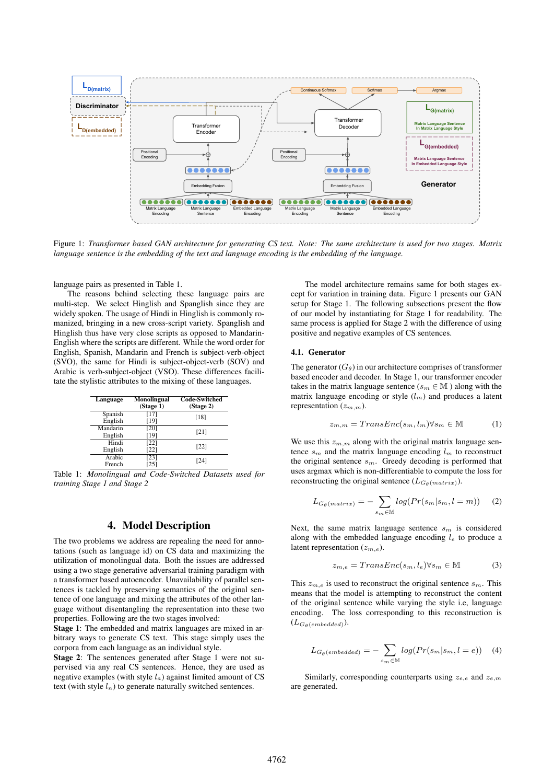

Figure 1: *Transformer based GAN architecture for generating CS text. Note: The same architecture is used for two stages. Matrix language sentence is the embedding of the text and language encoding is the embedding of the language.*

language pairs as presented in Table 1.

The reasons behind selecting these language pairs are multi-step. We select Hinglish and Spanglish since they are widely spoken. The usage of Hindi in Hinglish is commonly romanized, bringing in a new cross-script variety. Spanglish and Hinglish thus have very close scripts as opposed to Mandarin-English where the scripts are different. While the word order for English, Spanish, Mandarin and French is subject-verb-object (SVO), the same for Hindi is subject-object-verb (SOV) and Arabic is verb-subject-object (VSO). These differences facilitate the stylistic attributes to the mixing of these languages.

| Language | <b>Monolingual</b><br>(Stage 1) | <b>Code-Switched</b><br>(Stage 2) |
|----------|---------------------------------|-----------------------------------|
| Spanish  | $[17]$                          | [18]                              |
| English  | [19]                            |                                   |
| Mandarin | [20]                            | [21]                              |
| English  | [19]                            |                                   |
| Hindi    | $\overline{1221}$               | [22]                              |
| English  | [22]                            |                                   |
| Arabic   | [23]                            | [24]                              |
| French   | [25]                            |                                   |

Table 1: *Monolingual and Code-Switched Datasets used for training Stage 1 and Stage 2*

### 4. Model Description

The two problems we address are repealing the need for annotations (such as language id) on CS data and maximizing the utilization of monolingual data. Both the issues are addressed using a two stage generative adversarial training paradigm with a transformer based autoencoder. Unavailability of parallel sentences is tackled by preserving semantics of the original sentence of one language and mixing the attributes of the other language without disentangling the representation into these two properties. Following are the two stages involved:

Stage 1: The embedded and matrix languages are mixed in arbitrary ways to generate CS text. This stage simply uses the corpora from each language as an individual style.

Stage 2: The sentences generated after Stage 1 were not supervised via any real CS sentences. Hence, they are used as negative examples (with style  $l_a$ ) against limited amount of CS text (with style  $l_n$ ) to generate naturally switched sentences.

The model architecture remains same for both stages except for variation in training data. Figure 1 presents our GAN setup for Stage 1. The following subsections present the flow of our model by instantiating for Stage 1 for readability. The same process is applied for Stage 2 with the difference of using positive and negative examples of CS sentences.

#### 4.1. Generator

The generator  $(G_\theta)$  in our architecture comprises of transformer based encoder and decoder. In Stage 1, our transformer encoder takes in the matrix language sentence ( $s_m \in \mathbb{M}$ ) along with the matrix language encoding or style  $(l_m)$  and produces a latent representation  $(z_{m,m})$ .

$$
z_{m,m} = TransEnc(s_m, l_m) \forall s_m \in \mathbb{M} \tag{1}
$$

We use this  $z_{m,m}$  along with the original matrix language sentence  $s_m$  and the matrix language encoding  $l_m$  to reconstruct the original sentence  $s_m$ . Greedy decoding is performed that uses argmax which is non-differentiable to compute the loss for reconstructing the original sentence  $(L_{G_{\theta}(matrix)}).$ 

$$
L_{G_{\theta}(matrix)} = -\sum_{s_m \in \mathbb{M}} log(Pr(s_m|s_m, l=m)) \quad (2)
$$

Next, the same matrix language sentence  $s_m$  is considered along with the embedded language encoding  $l_e$  to produce a latent representation  $(z_{m,e})$ .

$$
z_{m,e} = TransEnc(s_m, l_e) \forall s_m \in \mathbb{M}
$$
 (3)

This  $z_{m,e}$  is used to reconstruct the original sentence  $s_m$ . This means that the model is attempting to reconstruct the content of the original sentence while varying the style i.e, language encoding. The loss corresponding to this reconstruction is  $(L_{G_{\theta}}(embed)).$ 

$$
L_{G_{\theta}(embedded)} = -\sum_{s_m \in \mathbb{M}} log(Pr(s_m|s_m, l = e)) \quad (4)
$$

Similarly, corresponding counterparts using  $z_{e,e}$  and  $z_{e,m}$ are generated.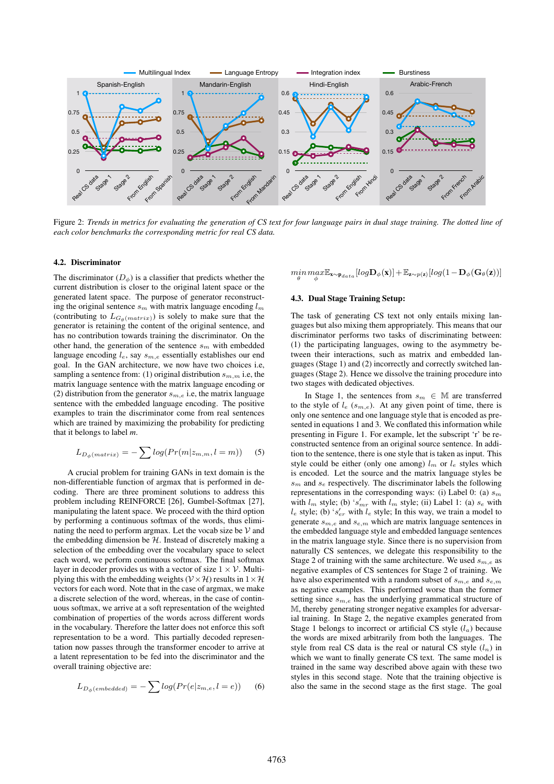

Figure 2: *Trends in metrics for evaluating the generation of CS text for four language pairs in dual stage training. The dotted line of each color benchmarks the corresponding metric for real CS data.*

#### 4.2. Discriminator

The discriminator  $(D_{\phi})$  is a classifier that predicts whether the current distribution is closer to the original latent space or the generated latent space. The purpose of generator reconstructing the original sentence  $s_m$  with matrix language encoding  $l_m$ (contributing to  $L_{G_{\theta}(matrix)}$ ) is solely to make sure that the generator is retaining the content of the original sentence, and has no contribution towards training the discriminator. On the other hand, the generation of the sentence  $s_m$  with embedded language encoding  $l_e$ , say  $s_{m,e}$  essentially establishes our end goal. In the GAN architecture, we now have two choices i.e, sampling a sentence from: (1) original distribution  $s_{m,m}$  i.e, the matrix language sentence with the matrix language encoding or (2) distribution from the generator  $s_{m,e}$  i.e, the matrix language sentence with the embedded language encoding. The positive examples to train the discriminator come from real sentences which are trained by maximizing the probability for predicting that it belongs to label *m*.

$$
L_{D_{\phi}(matrix)} = -\sum log(Pr(m|z_{m,m}, l=m))
$$
 (5)

A crucial problem for training GANs in text domain is the non-differentiable function of argmax that is performed in decoding. There are three prominent solutions to address this problem including REINFORCE [26], Gumbel-Softmax [27], manipulating the latent space. We proceed with the third option by performing a continuous softmax of the words, thus eliminating the need to perform argmax. Let the vocab size be  $\mathcal V$  and the embedding dimension be  $H$ . Instead of discretely making a selection of the embedding over the vocabulary space to select each word, we perform continuous softmax. The final softmax layer in decoder provides us with a vector of size  $1 \times V$ . Multiplying this with the embedding weights ( $V \times H$ ) results in  $1 \times H$ vectors for each word. Note that in the case of argmax, we make a discrete selection of the word, whereas, in the case of continuous softmax, we arrive at a soft representation of the weighted combination of properties of the words across different words in the vocabulary. Therefore the latter does not enforce this soft representation to be a word. This partially decoded representation now passes through the transformer encoder to arrive at a latent representation to be fed into the discriminator and the overall training objective are:

$$
L_{D_{\phi}(embedded)} = -\sum log(Pr(e|z_{m,e}, l = e)) \qquad (6)
$$

$$
\min_{\theta} \max_{\phi} \mathbb{E}_{\mathbf{x} \sim \mathbf{p}_{data}}[log \mathbf{D}_{\phi}(\mathbf{x})] + \mathbb{E}_{\mathbf{z} \sim p(\mathbf{z})}[log (1 - \mathbf{D}_{\phi}(\mathbf{G}_{\theta}(\mathbf{z}))]
$$

#### 4.3. Dual Stage Training Setup:

The task of generating CS text not only entails mixing languages but also mixing them appropriately. This means that our discriminator performs two tasks of discriminating between: (1) the participating languages, owing to the asymmetry between their interactions, such as matrix and embedded languages (Stage 1) and (2) incorrectly and correctly switched languages (Stage 2). Hence we dissolve the training procedure into two stages with dedicated objectives.

In Stage 1, the sentences from  $s_m \in \mathbb{M}$  are transferred to the style of  $l_e$  ( $s_{m,e}$ ). At any given point of time, there is only one sentence and one language style that is encoded as presented in equations 1 and 3. We conflated this information while presenting in Figure 1. For example, let the subscript 'r' be reconstructed sentence from an original source sentence. In addition to the sentence, there is one style that is taken as input. This style could be either (only one among)  $l_m$  or  $l_e$  styles which is encoded. Let the source and the matrix language styles be  $s<sub>m</sub>$  and  $s<sub>e</sub>$  respectively. The discriminator labels the following representations in the corresponding ways: (i) Label 0: (a)  $s_m$ with  $l_m$  style; (b) 's'<sub>mr</sub> with  $l_m$  style; (ii) Label 1: (a) s<sub>e</sub> with  $l_e$  style; (b) ' $s'_{er}$  with  $l_e$  style; In this way, we train a model to generate  $s_{m,e}$  and  $s_{e,m}$  which are matrix language sentences in the embedded language style and embedded language sentences in the matrix language style. Since there is no supervision from naturally CS sentences, we delegate this responsibility to the Stage 2 of training with the same architecture. We used  $s_{m,e}$  as negative examples of CS sentences for Stage 2 of training. We have also experimented with a random subset of  $s_{m,e}$  and  $s_{e,m}$ as negative examples. This performed worse than the former setting since  $s_{m,e}$  has the underlying grammatical structure of M, thereby generating stronger negative examples for adversarial training. In Stage 2, the negative examples generated from Stage 1 belongs to incorrect or artificial CS style  $(l_a)$  because the words are mixed arbitrarily from both the languages. The style from real CS data is the real or natural CS style  $(l_n)$  in which we want to finally generate CS text. The same model is trained in the same way described above again with these two styles in this second stage. Note that the training objective is also the same in the second stage as the first stage. The goal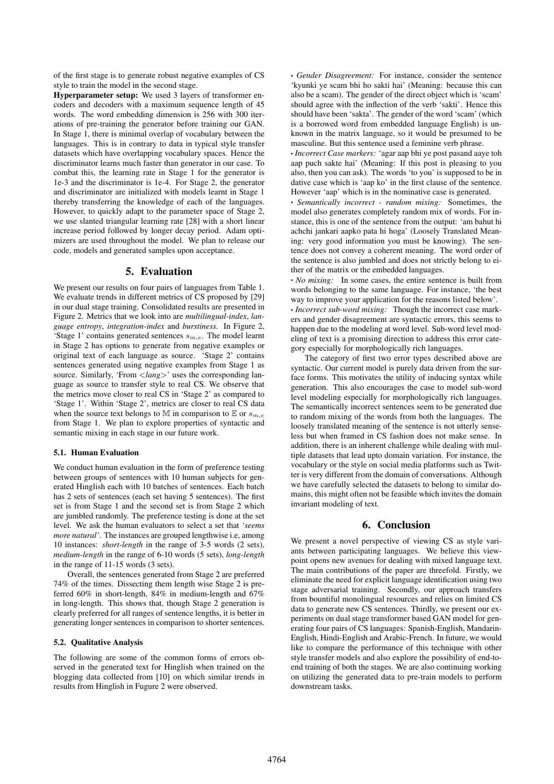of the first stage is to generate robust negative examples of CS style to train the model in the second stage.

Hyperparameter setup: We used 3 layers of transformer encoders and decoders with a maximum sequence length of 45 words. The word embedding dimension is 256 with 300 iterations of pre-training the generator before training our GAN. In Stage 1, there is minimal overlap of vocabulary between the languages. This is in contrary to data in typical style transfer datasets which have overlapping vocabulary spaces. Hence the discriminator learns much faster than generator in our case. To combat this, the learning rate in Stage 1 for the generator is 1e-3 and the discriminator is 1e-4. For Stage 2, the generator and discriminator are initialized with models learnt in Stage 1 thereby transferring the knowledge of each of the languages. However, to quickly adapt to the parameter space of Stage 2, we use slanted triangular learning rate [28] with a short linear increase period followed by longer decay period. Adam optimizers are used throughout the model. We plan to release our code, models and generated samples upon acceptance.

### 5. Evaluation

We present our results on four pairs of languages from Table 1. We evaluate trends in different metrics of CS proposed by [29] in our dual stage training. Consolidated results are presented in Figure 2. Metrics that we look into are *multilingual-index*, *language entropy*, *integration-index* and *burstiness*. In Figure 2, 'Stage 1' contains generated sentences  $s_{m,e}$ . The model learnt in Stage 2 has options to generate from negative examples or original text of each language as source. 'Stage 2' contains sentences generated using negative examples from Stage 1 as source. Similarly, 'From <*lang>*' uses the corresponding language as source to transfer style to real CS. We observe that the metrics move closer to real CS in 'Stage 2' as compared to 'Stage 1'. Within 'Stage 2', metrics are closer to real CS data when the source text belongs to M in comparison to E or  $s_{m,e}$ from Stage 1. We plan to explore properties of syntactic and semantic mixing in each stage in our future work.

#### 5.1. Human Evaluation

We conduct human evaluation in the form of preference testing between groups of sentences with 10 human subjects for generated Hinglish each with 10 batches of sentences. Each batch has 2 sets of sentences (each set having 5 sentences). The first set is from Stage 1 and the second set is from Stage 2 which are jumbled randomly. The preference testing is done at the set level. We ask the human evaluators to select a set that *'seems more natural'*. The instances are grouped lengthwise i.e, among 10 instances: *short-length* in the range of 3-5 words (2 sets), *medium-length* in the range of 6-10 words (5 sets), *long-length* in the range of 11-15 words (3 sets).

Overall, the sentences generated from Stage 2 are preferred 74% of the times. Dissecting them length wise Stage 2 is preferred 60% in short-length, 84% in medium-length and 67% in long-length. This shows that, though Stage 2 generation is clearly preferred for all ranges of sentence lengths, it is better in generating longer sentences in comparison to shorter sentences.

#### 5.2. Qualitative Analysis

The following are some of the common forms of errors observed in the generated text for Hinglish when trained on the blogging data collected from [10] on which similar trends in results from Hinglish in Fugure 2 were observed.

• *Gender Disagreement:* For instance, consider the sentence 'kyunki ye scam bhi ho sakti hai' (Meaning: because this can also be a scam). The gender of the direct object which is 'scam' should agree with the inflection of the verb 'sakti'. Hence this should have been 'sakta'. The gender of the word 'scam' (which is a borrowed word from embedded language English) is unknown in the matrix language, so it would be presumed to be masculine. But this sentence used a feminine verb phrase.

• *Incorrect Case markers:* 'agar aap bhi ye post pasand aaye toh aap puch sakte hai' (Meaning: If this post is pleasing to you also, then you can ask). The words 'to you' is supposed to be in dative case which is 'aap ko' in the first clause of the sentence. However 'aap' which is in the nominative case is generated.

• *Semantically incorrect - random mixing:* Sometimes, the model also generates completely random mix of words. For instance, this is one of the sentence from the output: 'am bahut hi achchi jankari aapko pata hi hoga' (Loosely Translated Meaning: very good information you must be knowing). The sentence does not convey a coherent meaning. The word order of the sentence is also jumbled and does not strictly belong to either of the matrix or the embedded languages.

• *No mixing:* In some cases, the entire sentence is built from words belonging to the same language. For instance, 'the best way to improve your application for the reasons listed below'. • *Incorrect sub-word mixing:* Though the incorrect case markers and gender disagreement are syntactic errors, this seems to happen due to the modeling at word level. Sub-word level modeling of text is a promising direction to address this error category especially for morphologically rich languages.

The category of first two error types described above are syntactic. Our current model is purely data driven from the surface forms. This motivates the utility of inducing syntax while generation. This also encourages the case to model sub-word level modeling especially for morphologically rich languages. The semantically incorrect sentences seem to be generated due to random mixing of the words from both the languages. The loosely translated meaning of the sentence is not utterly senseless but when framed in CS fashion does not make sense. In addition, there is an inherent challenge while dealing with multiple datasets that lead upto domain variation. For instance, the vocabulary or the style on social media platforms such as Twitter is very different from the domain of conversations. Although we have carefully selected the datasets to belong to similar domains, this might often not be feasible which invites the domain invariant modeling of text.

### 6. Conclusion

We present a novel perspective of viewing CS as style variants between participating languages. We believe this viewpoint opens new avenues for dealing with mixed language text. The main contributions of the paper are threefold. Firstly, we eliminate the need for explicit language identification using two stage adversarial training. Secondly, our approach transfers from bountiful monolingual resources and relies on limited CS data to generate new CS sentences. Thirdly, we present our experiments on dual stage transformer based GAN model for generating four pairs of CS languages: Spanish-English, Mandarin-English, Hindi-English and Arabic-French. In future, we would like to compare the performance of this technique with other style transfer models and also explore the possibility of end-toend training of both the stages. We are also continuing working on utilizing the generated data to pre-train models to perform downstream tasks.